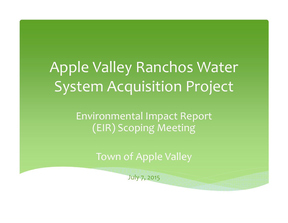# Apple Valley Ranchos Water System Acquisition Project

Environmental Impact Report (EIR) Scoping Meeting

Town of Apple Valley

July 7, 2015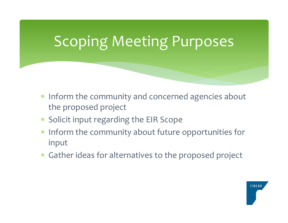#### Scoping Meeting Purposes

- \* Inform the community and concerned agencies about the proposed project
- Solicit input regarding the EIR Scope
- \* Inform the community about future opportunities for input
- Gather ideas for alternatives to the proposed project

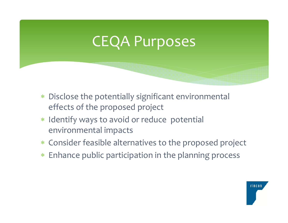### CEQA Purposes

- $\ast$  Disclose the potentially significant environmental effects of the proposed project
- \* Identify ways to avoid or reduce potential environmental impacts
- Consider feasible alternatives to the proposed project
- $\ast$ Enhance public participation in the planning process

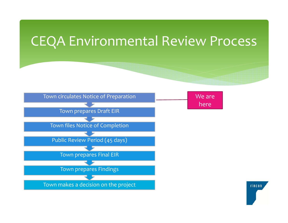#### CEQA Environmental Review Process



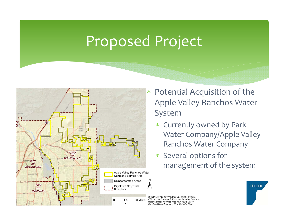### Proposed Project



- Potential Acquisition of the Apple Valley Ranchos Water System
	- $*$  Currently owned by Park Water Company/Apple Valley Ranchos Water Company
	- Several options for management of the system

Imagery provided by National Geographic Society, ESRI and its licensors © 2015. Apple Valley Ranchos Water Company Service Area from Apple Valley Ranchos Water Company, 2010 UWMP - Final.

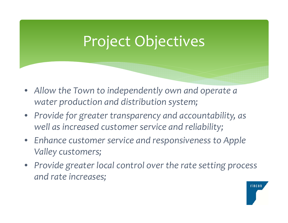### Project Objectives

- *Allow the Town to independently own and operate <sup>a</sup> water production and distribution system;*
- *Provide for greater transparency and accountability, as well as increased customer service and reliability;*
- *Enhance customer service and responsiveness to Apple Valley customers;*
- *Provide greater local control over the rate setting process and rate increases;*

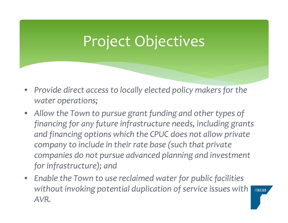### Project Objectives

- $\bullet$  *Provide direct access to locally elected policy makers for the water operations;*
- $\bullet$  *Allow the Town to pursue grant funding and other types of financing for any future infrastructure needs, including grants and financing options which the CPUC does not allow private company to include in their rate base (such that private companies do not pursue advanced planning and investment for infrastructure); and*
- $\bullet$  *Enable the Town to use reclaimed water for public facilities without invoking potential duplication of service issues with AVR.*

**TINCON**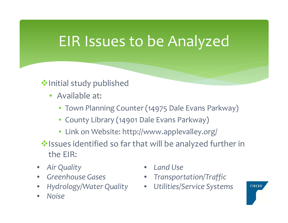### EIR Issues to be Analyzed

#### **V**•Initial study published

- Available at:
	- Town Planning Counter (14975 Dale Evans Parkway)
	- County Library (14901 Dale Evans Parkway)
	- Link on Website: http://www.applevalley.org/

Issues identified so far that will be analyzed further in the EIR:

- •*Air Quality*
- •*Greenhouse Gases*
- •*Hydrology/Water Quality* •
- •*Noise*
- •*Land Use*
- •*Transportation/Traffic*
- *Utilities/Service Systems*

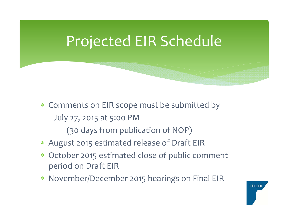#### Projected EIR Schedule

- Comments on EIR scope must be submitted by July 27, 2015 at 5:00 PM (30 days from publication of NOP)
- August 2015 estimated release of Draft EIR
- October 2015 estimated close of public comment period on Draft EIR
- November/December 2015 hearings on Final EIR